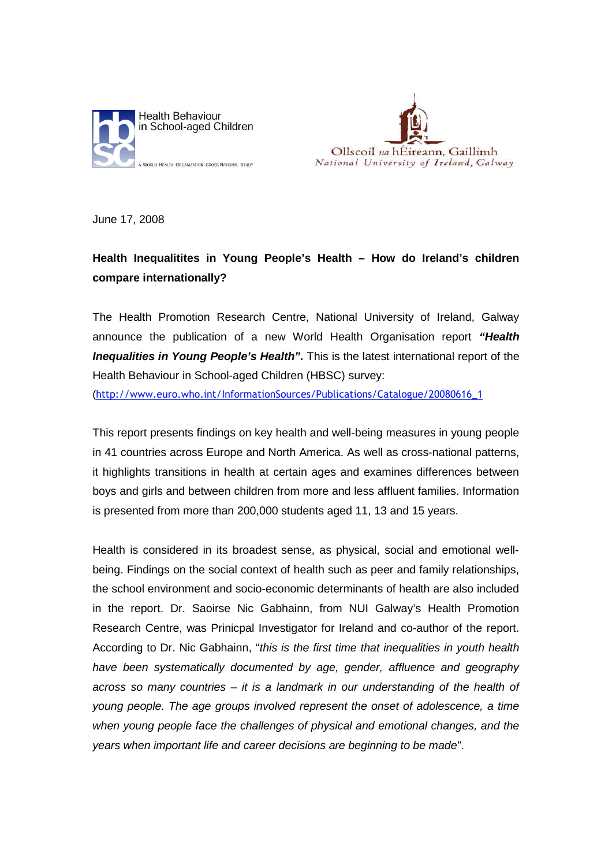



June 17, 2008

## **Health Inequalitites in Young People's Health – How do Ireland's children compare internationally?**

The Health Promotion Research Centre, National University of Ireland, Galway announce the publication of a new World Health Organisation report *"Health Inequalities in Young People's Health".* This is the latest international report of the Health Behaviour in School-aged Children (HBSC) survey:

(http://www.euro.who.int/InformationSources/Publications/Catalogue/20080616\_1

This report presents findings on key health and well-being measures in young people in 41 countries across Europe and North America. As well as cross-national patterns, it highlights transitions in health at certain ages and examines differences between boys and girls and between children from more and less affluent families. Information is presented from more than 200,000 students aged 11, 13 and 15 years.

Health is considered in its broadest sense, as physical, social and emotional wellbeing. Findings on the social context of health such as peer and family relationships, the school environment and socio-economic determinants of health are also included in the report. Dr. Saoirse Nic Gabhainn, from NUI Galway's Health Promotion Research Centre, was Prinicpal Investigator for Ireland and co-author of the report. According to Dr. Nic Gabhainn, "*this is the first time that inequalities in youth health have been systematically documented by age, gender, affluence and geography across so many countries – it is a landmark in our understanding of the health of young people. The age groups involved represent the onset of adolescence, a time when young people face the challenges of physical and emotional changes, and the years when important life and career decisions are beginning to be made*".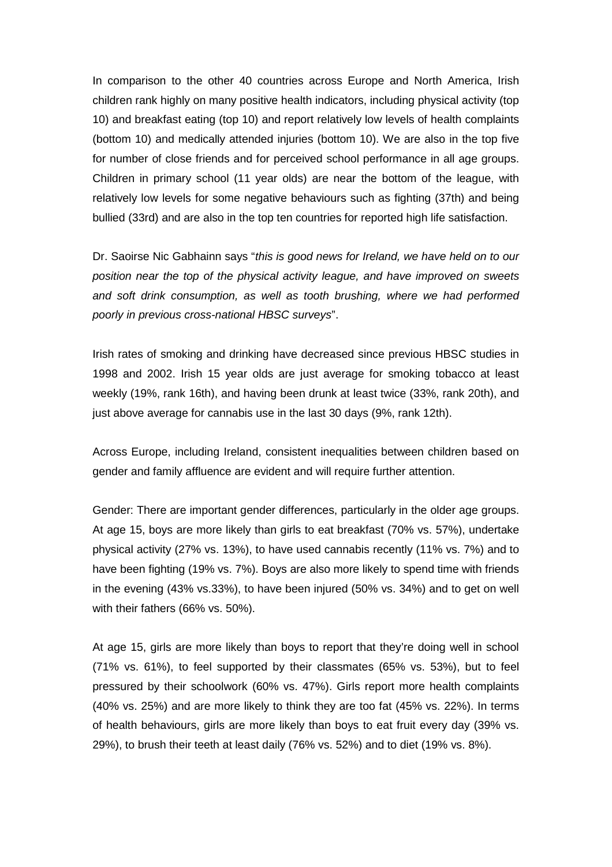In comparison to the other 40 countries across Europe and North America, Irish children rank highly on many positive health indicators, including physical activity (top 10) and breakfast eating (top 10) and report relatively low levels of health complaints (bottom 10) and medically attended injuries (bottom 10). We are also in the top five for number of close friends and for perceived school performance in all age groups. Children in primary school (11 year olds) are near the bottom of the league, with relatively low levels for some negative behaviours such as fighting (37th) and being bullied (33rd) and are also in the top ten countries for reported high life satisfaction.

Dr. Saoirse Nic Gabhainn says "*this is good news for Ireland, we have held on to our position near the top of the physical activity league, and have improved on sweets and soft drink consumption, as well as tooth brushing, where we had performed poorly in previous cross-national HBSC surveys*".

Irish rates of smoking and drinking have decreased since previous HBSC studies in 1998 and 2002. Irish 15 year olds are just average for smoking tobacco at least weekly (19%, rank 16th), and having been drunk at least twice (33%, rank 20th), and just above average for cannabis use in the last 30 days (9%, rank 12th).

Across Europe, including Ireland, consistent inequalities between children based on gender and family affluence are evident and will require further attention.

Gender: There are important gender differences, particularly in the older age groups. At age 15, boys are more likely than girls to eat breakfast (70% vs. 57%), undertake physical activity (27% vs. 13%), to have used cannabis recently (11% vs. 7%) and to have been fighting (19% vs. 7%). Boys are also more likely to spend time with friends in the evening (43% vs.33%), to have been injured (50% vs. 34%) and to get on well with their fathers (66% vs. 50%).

At age 15, girls are more likely than boys to report that they're doing well in school (71% vs. 61%), to feel supported by their classmates (65% vs. 53%), but to feel pressured by their schoolwork (60% vs. 47%). Girls report more health complaints (40% vs. 25%) and are more likely to think they are too fat (45% vs. 22%). In terms of health behaviours, girls are more likely than boys to eat fruit every day (39% vs. 29%), to brush their teeth at least daily (76% vs. 52%) and to diet (19% vs. 8%).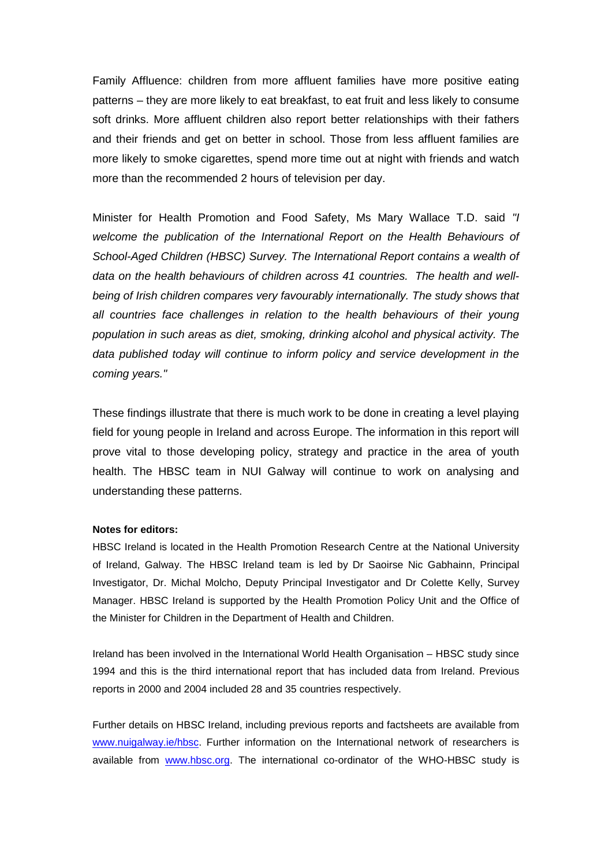Family Affluence: children from more affluent families have more positive eating patterns – they are more likely to eat breakfast, to eat fruit and less likely to consume soft drinks. More affluent children also report better relationships with their fathers and their friends and get on better in school. Those from less affluent families are more likely to smoke cigarettes, spend more time out at night with friends and watch more than the recommended 2 hours of television per day.

Minister for Health Promotion and Food Safety, Ms Mary Wallace T.D. said *"I welcome the publication of the International Report on the Health Behaviours of School-Aged Children (HBSC) Survey. The International Report contains a wealth of data on the health behaviours of children across 41 countries. The health and wellbeing of Irish children compares very favourably internationally. The study shows that all countries face challenges in relation to the health behaviours of their young population in such areas as diet, smoking, drinking alcohol and physical activity. The data published today will continue to inform policy and service development in the coming years."*

These findings illustrate that there is much work to be done in creating a level playing field for young people in Ireland and across Europe. The information in this report will prove vital to those developing policy, strategy and practice in the area of youth health. The HBSC team in NUI Galway will continue to work on analysing and understanding these patterns.

## **Notes for editors:**

HBSC Ireland is located in the Health Promotion Research Centre at the National University of Ireland, Galway. The HBSC Ireland team is led by Dr Saoirse Nic Gabhainn, Principal Investigator, Dr. Michal Molcho, Deputy Principal Investigator and Dr Colette Kelly, Survey Manager. HBSC Ireland is supported by the Health Promotion Policy Unit and the Office of the Minister for Children in the Department of Health and Children.

Ireland has been involved in the International World Health Organisation – HBSC study since 1994 and this is the third international report that has included data from Ireland. Previous reports in 2000 and 2004 included 28 and 35 countries respectively.

Further details on HBSC Ireland, including previous reports and factsheets are available from [www.nuigalway.ie/hbsc](http://www.nuigalway.ie/hbsc). Further information on the International network of researchers is available from [www.hbsc.org](http://www.hbsc.org/). The international co-ordinator of the WHO-HBSC study is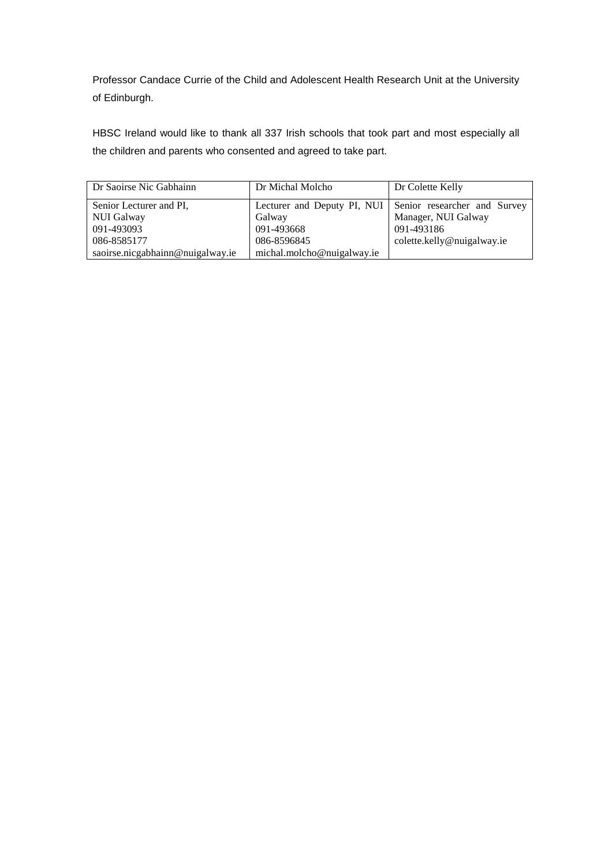Professor Candace Currie of the Child and Adolescent Health Research Unit at the University of Edinburgh.

HBSC Ireland would like to thank all 337 Irish schools that took part and most especially all the children and parents who consented and agreed to take part.

| Dr Saoirse Nic Gabhainn          | Dr Michal Molcho           | Dr Colette Kelly                                         |
|----------------------------------|----------------------------|----------------------------------------------------------|
| Senior Lecturer and PI,          |                            | Lecturer and Deputy PI, NUI Senior researcher and Survey |
| NUI Galway                       | Galway                     | Manager, NUI Galway                                      |
| 091-493093                       | 091-493668                 | 091-493186                                               |
| 086-8585177                      | 086-8596845                | colette.kelly@nuigalway.ie                               |
| saoirse.nicgabhainn@nuigalway.ie | michal.molcho@nuigalway.ie |                                                          |